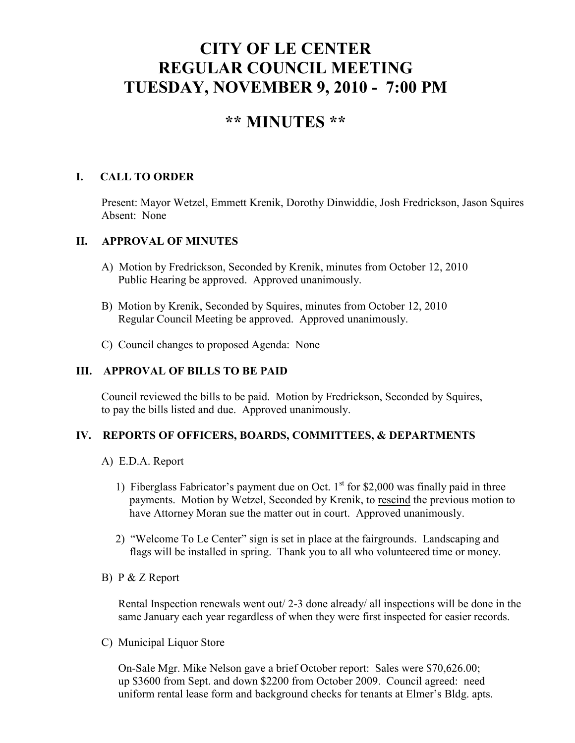# **CITY OF LE CENTER REGULAR COUNCIL MEETING TUESDAY, NOVEMBER 9, 2010 - 7:00 PM**

# **\*\* MINUTES \*\***

# **I. CALL TO ORDER**

Present: Mayor Wetzel, Emmett Krenik, Dorothy Dinwiddie, Josh Fredrickson, Jason Squires Absent: None

## **II. APPROVAL OF MINUTES**

- A) Motion by Fredrickson, Seconded by Krenik, minutes from October 12, 2010 Public Hearing be approved. Approved unanimously.
- B) Motion by Krenik, Seconded by Squires, minutes from October 12, 2010 Regular Council Meeting be approved. Approved unanimously.
- C) Council changes to proposed Agenda: None

#### **III. APPROVAL OF BILLS TO BE PAID**

Council reviewed the bills to be paid. Motion by Fredrickson, Seconded by Squires, to pay the bills listed and due. Approved unanimously.

## **IV. REPORTS OF OFFICERS, BOARDS, COMMITTEES, & DEPARTMENTS**

- A) E.D.A. Report
	- 1) Fiberglass Fabricator's payment due on Oct.  $1<sup>st</sup>$  for \$2,000 was finally paid in three payments. Motion by Wetzel, Seconded by Krenik, to rescind the previous motion to have Attorney Moran sue the matter out in court. Approved unanimously.
	- 2) "Welcome To Le Center" sign is set in place at the fairgrounds. Landscaping and flags will be installed in spring. Thank you to all who volunteered time or money.
- B) P & Z Report

 Rental Inspection renewals went out/ 2-3 done already/ all inspections will be done in the same January each year regardless of when they were first inspected for easier records.

C) Municipal Liquor Store

On-Sale Mgr. Mike Nelson gave a brief October report: Sales were \$70,626.00; up \$3600 from Sept. and down \$2200 from October 2009. Council agreed: need uniform rental lease form and background checks for tenants at Elmer's Bldg. apts.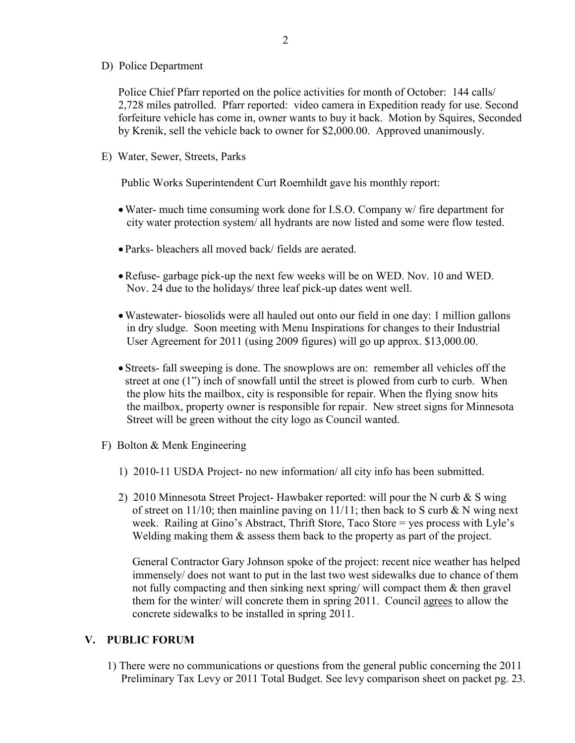#### D) Police Department

Police Chief Pfarr reported on the police activities for month of October: 144 calls/ 2,728 miles patrolled. Pfarr reported: video camera in Expedition ready for use. Second forfeiture vehicle has come in, owner wants to buy it back. Motion by Squires, Seconded by Krenik, sell the vehicle back to owner for \$2,000.00. Approved unanimously.

E) Water, Sewer, Streets, Parks

Public Works Superintendent Curt Roemhildt gave his monthly report:

- •Water- much time consuming work done for I.S.O. Company w/ fire department for city water protection system/ all hydrants are now listed and some were flow tested.
- Parks- bleachers all moved back/ fields are aerated.
- •Refuse- garbage pick-up the next few weeks will be on WED. Nov. 10 and WED. Nov. 24 due to the holidays/ three leaf pick-up dates went well.
- •Wastewater- biosolids were all hauled out onto our field in one day: 1 million gallons in dry sludge. Soon meeting with Menu Inspirations for changes to their Industrial User Agreement for 2011 (using 2009 figures) will go up approx. \$13,000.00.
- Streets- fall sweeping is done. The snowplows are on: remember all vehicles off the street at one (1") inch of snowfall until the street is plowed from curb to curb. When the plow hits the mailbox, city is responsible for repair. When the flying snow hits the mailbox, property owner is responsible for repair. New street signs for Minnesota Street will be green without the city logo as Council wanted.
- F) Bolton & Menk Engineering
	- 1) 2010-11 USDA Project- no new information/ all city info has been submitted.
	- 2) 2010 Minnesota Street Project- Hawbaker reported: will pour the N curb & S wing of street on 11/10; then mainline paving on 11/11; then back to S curb  $\& N$  wing next week. Railing at Gino's Abstract, Thrift Store, Taco Store = yes process with Lyle's Welding making them  $\&$  assess them back to the property as part of the project.

 General Contractor Gary Johnson spoke of the project: recent nice weather has helped immensely/ does not want to put in the last two west sidewalks due to chance of them not fully compacting and then sinking next spring/ will compact them & then gravel them for the winter/ will concrete them in spring 2011. Council agrees to allow the concrete sidewalks to be installed in spring 2011.

#### **V. PUBLIC FORUM**

 1) There were no communications or questions from the general public concerning the 2011 Preliminary Tax Levy or 2011 Total Budget. See levy comparison sheet on packet pg. 23.